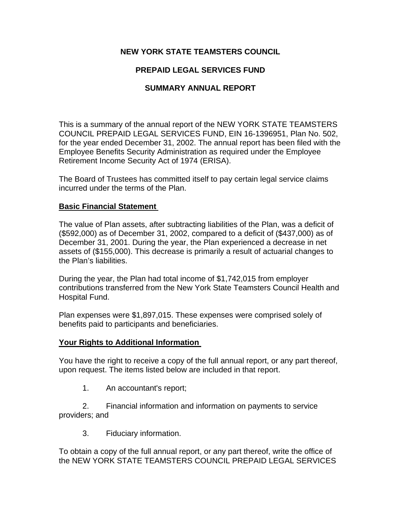## **NEW YORK STATE TEAMSTERS COUNCIL**

# **PREPAID LEGAL SERVICES FUND**

## **SUMMARY ANNUAL REPORT**

This is a summary of the annual report of the NEW YORK STATE TEAMSTERS COUNCIL PREPAID LEGAL SERVICES FUND, EIN 16-1396951, Plan No. 502, for the year ended December 31, 2002. The annual report has been filed with the Employee Benefits Security Administration as required under the Employee Retirement Income Security Act of 1974 (ERISA).

The Board of Trustees has committed itself to pay certain legal service claims incurred under the terms of the Plan.

#### **Basic Financial Statement**

The value of Plan assets, after subtracting liabilities of the Plan, was a deficit of (\$592,000) as of December 31, 2002, compared to a deficit of (\$437,000) as of December 31, 2001. During the year, the Plan experienced a decrease in net assets of (\$155,000). This decrease is primarily a result of actuarial changes to the Plan's liabilities.

During the year, the Plan had total income of \$1,742,015 from employer contributions transferred from the New York State Teamsters Council Health and Hospital Fund.

Plan expenses were \$1,897,015. These expenses were comprised solely of benefits paid to participants and beneficiaries.

## **Your Rights to Additional Information**

You have the right to receive a copy of the full annual report, or any part thereof, upon request. The items listed below are included in that report.

1. An accountant's report;

 2. Financial information and information on payments to service providers; and

3. Fiduciary information.

To obtain a copy of the full annual report, or any part thereof, write the office of the NEW YORK STATE TEAMSTERS COUNCIL PREPAID LEGAL SERVICES